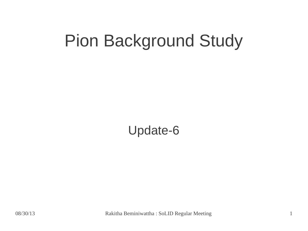# Pion Background Study

Update-6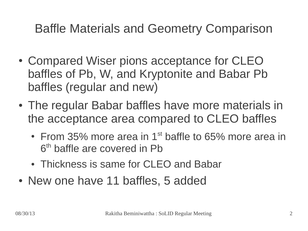# Baffle Materials and Geometry Comparison

- Compared Wiser pions acceptance for CLEO baffles of Pb, W, and Kryptonite and Babar Pb baffles (regular and new)
- The regular Babar baffles have more materials in the acceptance area compared to CLEO baffles
	- From 35% more area in  $1<sup>st</sup>$  baffle to 65% more area in 6<sup>th</sup> baffle are covered in Pb
	- Thickness is same for CLEO and Babar
- New one have 11 baffles, 5 added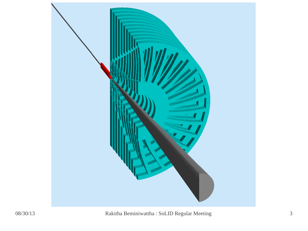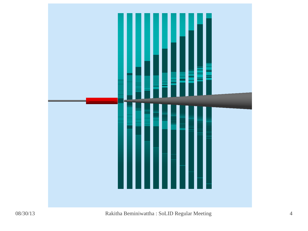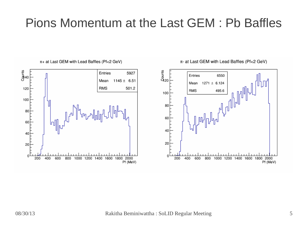### Pions Momentum at the Last GEM : Pb Baffles



 $\pi$ + at Last GEM with Lead Baffles (Pf<2 GeV)

π- at Last GEM with Lead Baffles (Pf<2 GeV)

08/30/13 Rakitha Beminiwattha : SoLID Regular Meeting 5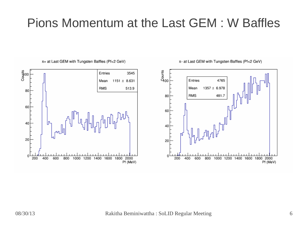### Pions Momentum at the Last GEM : W Baffles



π+ at Last GEM with Tungsten Baffles (Pf<2 GeV)

π- at Last GEM with Tungsten Baffles (Pf<2 GeV)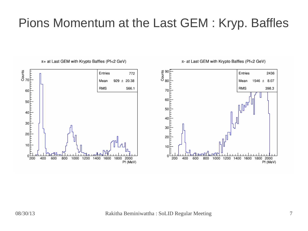## Pions Momentum at the Last GEM : Kryp. Baffles



π- at Last GEM with Krypto Baffles (Pf<2 GeV)

08/30/13 Rakitha Beminiwattha : SoLID Regular Meeting 7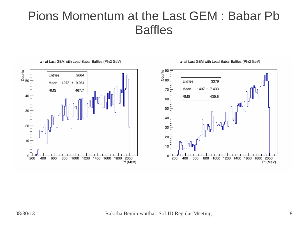## Pions Momentum at the Last GEM : Babar Pb Baffles



π- at Last GEM with Lead Babar Baffles (Pf<2 GeV)

08/30/13 Rakitha Beminiwattha : SoLID Regular Meeting 8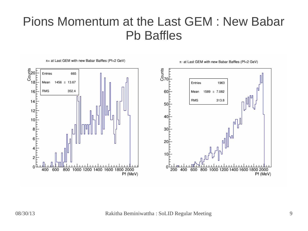### Pions Momentum at the Last GEM : New Babar Pb Baffles



π- at Last GEM with new Babar Baffles (Pf<2 GeV)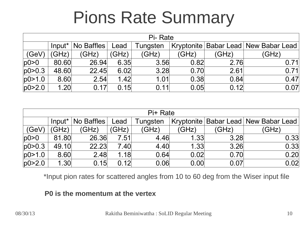# Pions Rate Summary

|        | Pi-Rate   |            |       |          |       |       |                                          |  |  |
|--------|-----------|------------|-------|----------|-------|-------|------------------------------------------|--|--|
|        | $Input^*$ | No Baffles | Lead  | Tungsten |       |       | Kryptonite   Babar Lead   New Babar Lead |  |  |
| (GeV)  | (GHz)     | (GHz)      | (GHz) | (GHz)    | (GHz) | (GHz) | (GHz)                                    |  |  |
| p0>0   | 80.60     | 26.94      | 6.35  | 3.56     | 0.82  | 2.76  | 0.71                                     |  |  |
| p0>0.3 | 48.60     | 22.45      | 6.02  | 3.28     | 0.70  | 2.61  | 0.71                                     |  |  |
| p0>1.0 | 8.60      | 2.54       | 1.42  | 1.01     | 0.38  | 0.84  | 0.47                                     |  |  |
| p0>2.0 | 1.20      | 0.17       | 0.15  | 0.11     | 0.05  | 0.12  | 0.07                                     |  |  |

| Pi+ Rate |       |                     |       |          |       |       |                                          |  |
|----------|-------|---------------------|-------|----------|-------|-------|------------------------------------------|--|
|          |       | Input*   No Baffles | Lead  | Tungsten |       |       | Kryptonite   Babar Lead   New Babar Lead |  |
| (GeV)    | (GHz) | (GHz)               | (GHz) | (GHz)    | (GHz) | (GHz) | (GHz)                                    |  |
| p0>0     | 81.80 | 26.36               | 7.51  | 4.46     | 1.33  | 3.28  | 0.33                                     |  |
| p0>0.3   | 49.10 | 22.23               | 7.40  | 4.40     | 1.33  | 3.26  | 0.33                                     |  |
| p0>1.0   | 8.60  | 2.48                | 1.18  | 0.64     | 0.02  | 0.70  | 0.20                                     |  |
| p0 > 2.0 | 1.30  | 0.15                | 0.12  | 0.06     | 0.00  | 0.07  | 0.02                                     |  |

\*Input pion rates for scattered angles from 10 to 60 deg from the Wiser input file

### **P0 is the momentum at the vertex**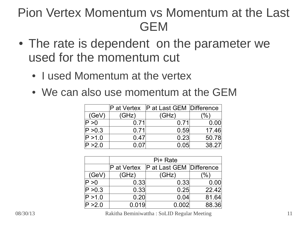### Pion Vertex Momentum vs Momentum at the Last GEM

- The rate is dependent on the parameter we used for the momentum cut
	- I used Momentum at the vertex
	- We can also use momentum at the GEM

|         | P at Vertex | <b>P</b> at Last GEM Difference |                |
|---------|-------------|---------------------------------|----------------|
| (GeV)   | (GHz)       | (GHz)                           | $\frac{10}{6}$ |
| P > 0   | 0.71        | 0.71                            | 0.00           |
| P > 0.3 | 0.71        | 0.59                            | 17.46          |
| P > 1.0 | 0.47        | 0.23                            | 50.78          |
| P > 2.0 |             | 0.05                            | 38 27          |

|         | Pi+ Rate    |                          |       |  |  |
|---------|-------------|--------------------------|-------|--|--|
|         | P at Vertex | P at Last GEM Difference |       |  |  |
| (GeV)   | (GHz)       | (GHz)                    | %     |  |  |
| P > 0   | 0.33        | 0.33                     | 0.00  |  |  |
| P > 0.3 | 0.33        | 0.25                     | 22.42 |  |  |
| P > 1.0 | 0.20        | 0.04                     | 81.64 |  |  |
| P > 2.0 | 0.019       | 0.002                    | 88.36 |  |  |

08/30/13 Rakitha Beminiwattha : SoLID Regular Meeting 11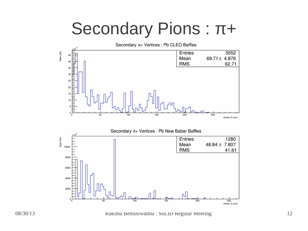# Secondary Pions : π+



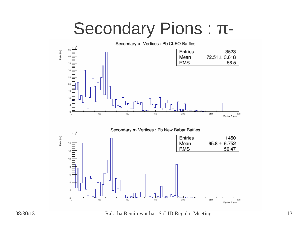# Secondary Pions : π-





08/30/13 Rakitha Beminiwattha : SoLID Regular Meeting 13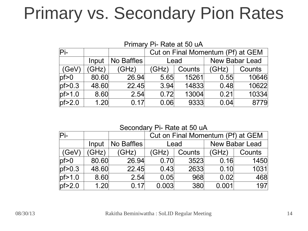# Primary vs. Secondary Pion Rates

Pi- And Cut on Final Momentum (Pf) at GEM Input | No Baffles | Lead  $(GHz)$  (GHz) (GHz) Counts (GHz) Counts pf>0 80.60 26.94 5.65 15261 0.55 10646 pf>0.3 48.60 22.45 3.94 14833 0.48 10622 pf>1.0 8.60 2.54 0.72 13004 0.21 10334 pf>2.0 1.20 0.17 0.06 9333 0.04 8779 Primary Pi- Rate at 50 uA New Babar Lead (GeV)

Secondary Pi- Rate at 50 uA

| ∣Pi-     |       |            |       | Cut on Final Momentum (Pf) at GEM |       |                       |  |
|----------|-------|------------|-------|-----------------------------------|-------|-----------------------|--|
|          | Input | No Baffles |       | Lead                              |       | <b>New Babar Lead</b> |  |
| (GeV)    | (GHz) | (GHz)      | (GHz) | Counts                            | (GHz) | Counts                |  |
| pf > 0   | 80.60 | 26.94      | 0.70  | 3523                              | 0.16  | 1450                  |  |
| pf > 0.3 | 48.60 | 22.45      | 0.43  | 2633                              | 0.10  | 1031                  |  |
| pf > 1.0 | 8.60  | 2.54       | 0.05  | 968                               | 0.02  | 468                   |  |
| pf > 2.0 | 1.20  | 0.17       | 0.003 | 380                               | 0.001 | 197                   |  |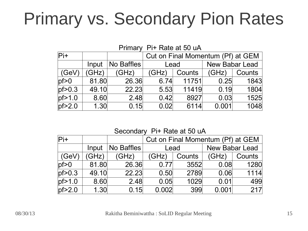# Primary vs. Secondary Pion Rates

Primary Pi+ Rate at 50 uA

| $ P +$   |       |            | Cut on Final Momentum (Pf) at GEM |               |                       |        |
|----------|-------|------------|-----------------------------------|---------------|-----------------------|--------|
|          | Input | No Baffles | Lead                              |               | <b>New Babar Lead</b> |        |
| (GeV)    | (GHz) | (GHz)      | (GHz)                             | <b>Counts</b> | (GHz)                 | Counts |
| pf>0     | 81.80 | 26.36      | 6.74                              | 11751         | 0.25                  | 1843   |
| pf>0.3   | 49.10 | 22.23      | 5.53                              | 11419         | 0.19                  | 1804   |
| pf > 1.0 | 8.60  | 2.48       | 0.42                              | 8927          | 0.03                  | 1525   |
| pf > 2.0 | 1.30  | 0.15       | 0.02                              | 6114          | 0.001                 | 1048   |

Secondary Pi+ Rate at 50 uA

| $ P +$   |       |            | Cut on Final Momentum (Pf) at GEM |        |                       |        |
|----------|-------|------------|-----------------------------------|--------|-----------------------|--------|
|          | Input | No Baffles | Lead                              |        | <b>New Babar Lead</b> |        |
| (GeV)    | (GHz) | (GHz)      | (GHz)                             | Counts | (GHz)                 | Counts |
| pf>0     | 81.80 | 26.36      | 0.77                              | 3552   | 0.08                  | 1280   |
| pf>0.3   | 49.10 | 22.23      | 0.50                              | 2789   | 0.06                  | 1114   |
| pf > 1.0 | 8.60  | 2.48       | 0.05                              | 1029   | 0.01                  | 499    |
| pf > 2.0 | 1.30  | 0.15       | 0.002                             | 399    | 0.001                 | 217    |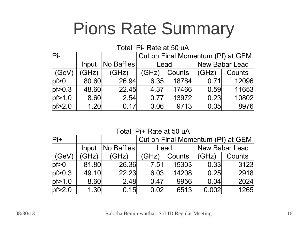# Pions Rate Summary

| Total Pi-Rate at 50 uA |       |            |                               |        |       |                                   |
|------------------------|-------|------------|-------------------------------|--------|-------|-----------------------------------|
| $ P $ -                |       |            |                               |        |       | Cut on Final Momentum (Pf) at GEM |
|                        | Input | No Baffles | <b>New Babar Lead</b><br>Lead |        |       |                                   |
| (GeV)                  | (GHz) | (GHz)      | (GHz)                         | Counts | (GHz) | Counts                            |
| pf>0                   | 80.60 | 26.94      | 6.35                          | 18784  | 0.71  | 12096                             |
| pf > 0.3               | 48.60 | 22.45      | 4.37                          | 17466  | 0.59  | 11653                             |
| pf > 1.0               | 8.60  | 2.54       | 0.77                          | 13972  | 0.23  | 10802                             |
| pf > 2.0               | 1.20  | 0.17       | 0.06                          | 9713   | 0.05  | 8976                              |

Total Pi+ Rate at 50 uA

| P        |       |            | Cut on Final Momentum (Pf) at GEM |        |       |                       |
|----------|-------|------------|-----------------------------------|--------|-------|-----------------------|
|          | Input | No Baffles |                                   | Lead   |       | <b>New Babar Lead</b> |
| (GeV)    | (GHz) | (GHz)      | (GHz)                             | Counts | (GHz) | Counts                |
| pf>0     | 81.80 | 26.36      | 7.51                              | 15303  | 0.33  | 3123                  |
| pf > 0.3 | 49.10 | 22.23      | 6.03                              | 14208  | 0.25  | 2918                  |
| pf > 1.0 | 8.60  | 2.48       | 0.47                              | 9956   | 0.04  | 2024                  |
| pf > 2.0 | 1.30  | 0.15       | 0.02                              | 6513   | 0.002 | 1265                  |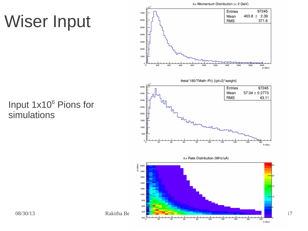# Wiser Input

### Input 1x10<sup>6</sup> Pions for simulations

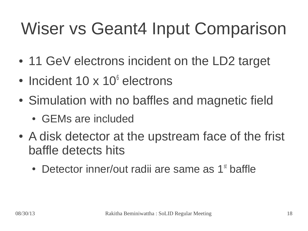- 11 GeV electrons incident on the LD2 target
- Incident  $10 \times 10^6$  electrons
- Simulation with no baffles and magnetic field
	- GEMs are included
- A disk detector at the upstream face of the frist baffle detects hits
	- Detector inner/out radii are same as  $1<sup>st</sup>$  baffle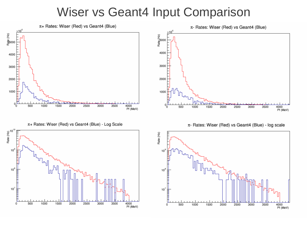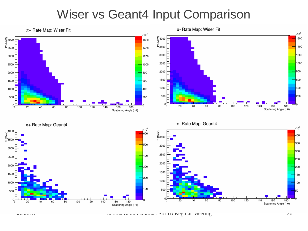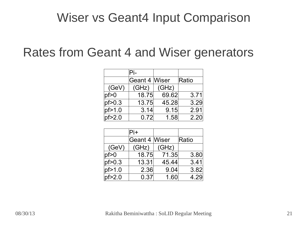### Rates from Geant 4 and Wiser generators

|          | Pi-           |       |       |
|----------|---------------|-------|-------|
|          | Geant 4 Wiser |       | Ratio |
| (GeV)    | (GHz)         | (GHz) |       |
| pf > 0   | 18.75         | 69.62 | 3.71  |
| pf > 0.3 | 13.75         | 45.28 | 3.29  |
| pf > 1.0 | 3.14          | 9.15  | 2.91  |
| p52.0    | 0.72          | 1.58  | 2.20  |

|          | $Pi+$         |       |       |
|----------|---------------|-------|-------|
|          | Geant 4 Wiser |       | Ratio |
| (GeV)    | (GHz)         | (GHz) |       |
| pf>0     | 18.75         | 71.35 | 3.80  |
| pf > 0.3 | 13.31         | 45.44 | 3.41  |
| pf>1.0   | 2.36          | 9.04  | 3.82  |
| pf > 2.0 | 0.37          | 1.60  | 4.29  |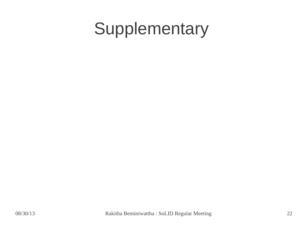# Supplementary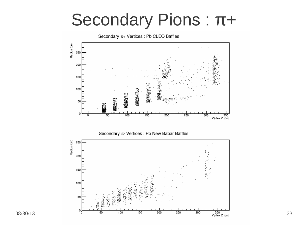# Secondary Pions : π+

Secondary  $\pi$ + Vertices : Pb CLEO Baffles



Secondary  $\pi$ - Vertices : Pb New Babar Baffles

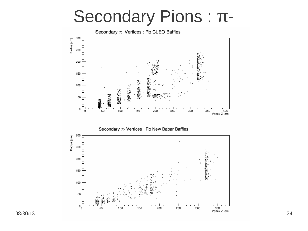# Secondary Pions : π-

Secondary  $\pi$ - Vertices : Pb CLEO Baffles





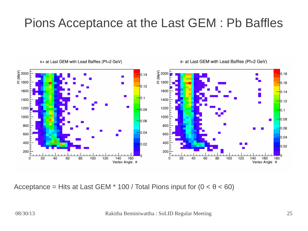# Pions Acceptance at the Last GEM : Pb Baffles



π- at Last GEM with Lead Baffles (Pf<2 GeV)

Acceptance = Hits at Last GEM  $*$  100 / Total Pions input for (0 <  $\theta$  < 60)

08/30/13 Rakitha Beminiwattha : SoLID Regular Meeting 25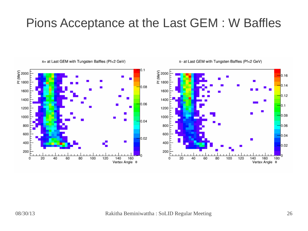## Pions Acceptance at the Last GEM : W Baffles

 $|0.1$  $\frac{2000}{2}$ <br> $\frac{2000}{4}$  $-0.08$ 1600 1400  $0.06$ 1200 1000  $-0.04$ 800 600  $0.02$ 400 200 100  $\Omega$ 20 40 60 80 120 140 160 Vertex Angle  $\theta$ 

π+ at Last GEM with Tungsten Baffles (Pf<2 GeV)



π- at Last GEM with Tungsten Baffles (Pf<2 GeV)

08/30/13 Rakitha Beminiwattha : SoLID Regular Meeting 26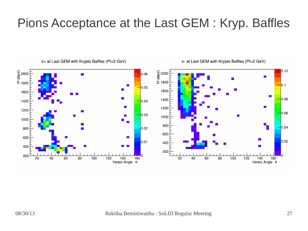# Pions Acceptance at the Last GEM : Kryp. Baffles



π+ at Last GEM with Krypto Baffles (Pf<2 GeV)

08/30/13 Rakitha Beminiwattha : SoLID Regular Meeting 27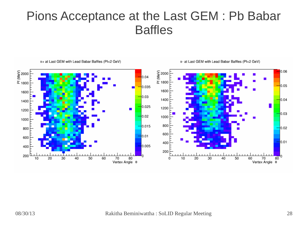## Pions Acceptance at the Last GEM : Pb Babar Baffles



π+ at Last GEM with Lead Babar Baffles (Pf<2 GeV)

### π- at Last GEM with Lead Babar Baffles (Pf<2 GeV)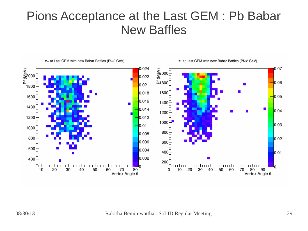## Pions Acceptance at the Last GEM : Pb Babar New Baffles